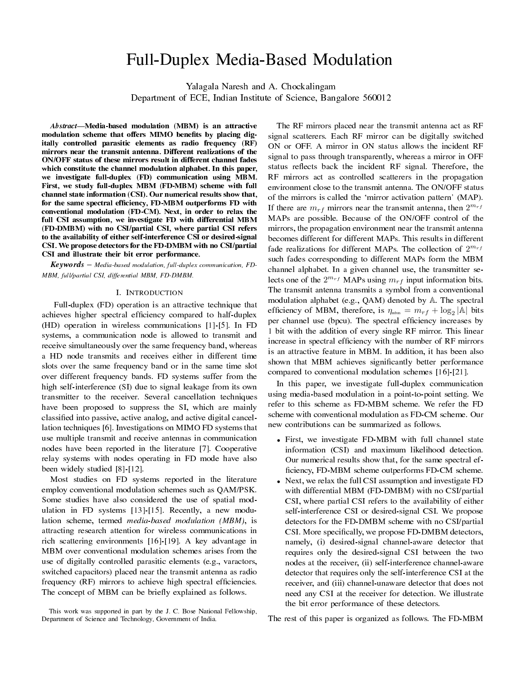# Full-Duplex Media-Based Modulation

Yalagala Naresh and A. Chockalingam

Department of ECE, Indian Institute of Science, Bangalore 560012

Abstract-Media-based modulation (MBM) is an attractive modulation scheme that offers MIMO benefits by placing digitally controlled parasitic elements as radio frequency (RF) mirrors near the transmit antenna. Different realizations of the ON/OFF status of these mirrors result in different channel fades which constitute the channel modulation alphabet. In this paper, we investigate full-duplex (FD) communication using MBM. First, we study full-duplex MBM (FD-MBM) scheme with full channel state information (CSI). Our numerical results show that, for the same spectral efficiency, FD-MBM outperforms FD with conventional modulation (FD-CM). Next, in order to relax the full CSI assumption, we investigate FD with differential MBM (FD-DMBM) with no CSI/partial CSI, where partial CSI refers to the availability of either self-interference CSI or desired-signal CSI. We propose detectors for the FD-DMBM with no CSI/partial CSI and illustrate their bit error performance.

 $Keywords$  – Media-based modulation, full-duplex communication, FD-MBM, full/partial CSI, differential MBM, FD-DMBM.

## I. INTRODUCTION

Full-duplex (FD) operation is an attractive technique that achieves higher spectral efficiency compared to half-duplex (HD) operation in wireless communications [1]-[5]. In FD systems, a communication node is allowed to transmit and receive simultaneously over the same frequency band, whereas a HD node transmits and receives either in different time slots over the same frequency band or in the same time slot over different frequency bands. FD systems suffer from the high self-interference (SI) due to signal leakage from its own transmitter to the receiver. Several cancellation techniques have been proposed to suppress the SI, which are mainly classified into passive, active analog, and active digital cancellation techniques [6]. Investigations on MIMO FD systems that use multiple transmit and receive antennas in communication nodes have been reported in the literature [7]. Cooperative relay systems with nodes operating in FD mode have also been widely studied [8]-[12].

Most studies on FD systems reported in the literature employ conventional modulation schemes such as QAM/PSK. Some studies have also considered the use of spatial modulation in FD systems [13]-[15]. Recently, a new modulation scheme, termed media-based modulation (MBM), is attracting research attention for wireless communications in rich scattering environments [16]-[19]. A key advantage in MBM over conventional modulation schemes arises from the use of digitally controlled parasitic elements (e.g., varactors, switched capacitors) placed near the transmit antenna as radio frequency (RF) mirrors to achieve high spectral efficiencies. The concept of MBM can be briefly explained as follows.

The RF mirrors placed near the transmit antenna act as RF signal scatterers. Each RF mirror can be digitally switched ON or OFF. A mirror in ON status allows the incident RF signal to pass through transparently, whereas a mirror in OFF status reflects back the incident RF signal. Therefore, the RF mirrors act as controlled scatterers in the propagation environment close to the transmit antenna. The ON/OFF status of the mirrors is called the `mirror activation pattern' (MAP). If there are  $m_{rf}$  mirrors near the transmit antenna, then  $2^{m_{rf}}$ MAPs are possible. Because of the ON/OFF control of the mirrors, the propagation environment near the transmit antenna becomes different for different MAPs. This results in different fade realizations for different MAPs. The collection of 2 *mrf* such fades corresponding to different MAPs form the MBM channel alphabet. In a given channel use, the transmitter selects one of the  $2^{m_{rf}}$  MAPs using  $m_{rf}$  input information bits. The transmit antenna transmits a symbol from a conventional modulation alphabet (e.g., QAM) denoted by A. The spectral efficiency of MBM, therefore, is  $\eta_{\text{mbm}} = m_{rf} + \log_2 |\mathbb{A}|$  bits per channel use (bpcu). The spectral efficiency increases by 1 bit with the addition of every single RF mirror. This linear increase in spectral efficiency with the number of RF mirrors is an attractive feature in MBM. In addition, it has been also shown that MBM achieves significantly better performance compared to conventional modulation schemes [16]-[21].

In this paper, we investigate full-duplex communication using media-based modulation in a point-to-point setting. We refer to this scheme as FD-MBM scheme. We refer the FD scheme with conventional modulation as FD-CM scheme. Our new contributions can be summarized as follows.

- *•* First, we investigate FD-MBM with full channel state information (CSI) and maximum likelihood detection. Our numerical results show that, for the same spectral ef ficiency, FD-MBM scheme outperforms FD-CM scheme.
- *•* Next, we relax the full CSI assumption and investigate FD with differential MBM (FD-DMBM) with no CSI/partial CSI, where partial CSI refers to the availability of either self-interference CSI or desired-signal CSI. We propose detectors for the FD-DMBM scheme with no CSI/partial CSI. More specifically, we propose FD-DMBM detectors, namely, (i) desired-signal channel-aware detector that requires only the desired-signal CSI between the two nodes at the receiver, (ii) self-interference channel-aware detector that requires only the self-interference CSI at the receiver, and (iii) channel-unaware detector that does not need any CSI at the receiver for detection. We illustrate the bit error performance of these detectors.

The rest of this paper is organized as follows. The FD-MBM

This work was supported in part by the J. C. Bose National Fellowship, Department of Science and Technology, Government of India.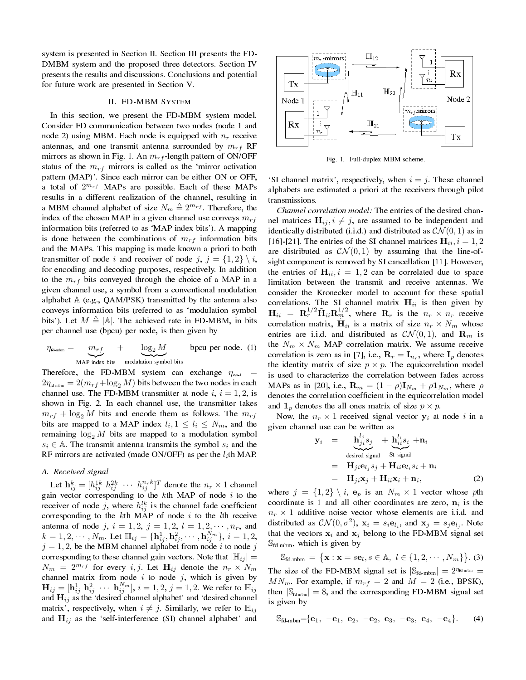system is presented in Section II. Section III presents the FD-DMBM system and the proposed three detectors. Section IV presents the results and discussions. Conclusions and potential for future work are presented in Section V.

#### II. FD-MBM SYSTEM

In this section, we present the FD-MBM system model. Consider FD communication between two nodes (node 1 and node 2) using MBM. Each node is equipped with *n<sup>r</sup>* receive antennas, and one transmit antenna surrounded by *mrf* RF mirrors as shown in Fig. 1. An *mrf* -length pattern of ON/OFF status of the  $m_{rf}$  mirrors is called as the 'mirror activation pattern (MAP)'. Since each mirror can be either ON or OFF, a total of 2 *<sup>m</sup>rf* MAPs are possible. Each of these MAPs results in a different realization of the channel, resulting in a MBM channel alphabet of size  $N_m \triangleq 2^{m_{rf}}$ . Therefore, the index of the chosen MAP in a given channel use conveys *mrf* information bits (referred to as `MAP index bits'). A mapping is done between the combinations of  $m_{rf}$  information bits and the MAPs. This mapping is made known a priori to both transmitter of node *i* and receiver of node *j*,  $j = \{1, 2\} \setminus i$ , for encoding and decoding purposes, respectively. In addition to the  $m_{rf}$  bits conveyed through the choice of a MAP in a given channel use, a symbol from a conventional modulation alphabet  $A$  (e.g., QAM/PSK) transmitted by the antenna also conveys information bits (referred to as `modulation symbol bits'). Let  $M \triangleq |A|$ . The achieved rate in FD-MBM, in bits per channel use (bpcu) per node, is then given by

$$
\eta_{\text{fd-mbm}} = \underbrace{m_{rf}}_{\text{MAP index bits}} + \underbrace{\log_2 M}_{\text{modulation symbol bits}} \text{bpcu per node. (1)}
$$

Therefore, the FD-MBM system can exchange  $\eta_{\rm sys,1}$  =  $2\eta_{\text{fd-mbm}} = 2(m_{rf} + \log_2 M)$  bits between the two nodes in each channel use. The FD-MBM transmitter at node  $i, i = 1, 2$ , is shown in Fig. 2. In each channel use, the transmitter takes  $m_{rf}$  + log<sub>2</sub> *M* bits and encode them as follows. The  $m_{rf}$ bits are mapped to a MAP index  $l_i, 1 \leq l_i \leq N_m$ , and the remaining  $log_2 M$  bits are mapped to a modulation symbol  $s_i \in A$ . The transmit antenna transmits the symbol  $s_i$  and the RF mirrors are activated (made ON/OFF) as per the *l<sup>i</sup>* th MAP.

## A. Received signal

Let  $\mathbf{h}_{ij}^k = [h_{ij}^{1k} \ h_{ij}^{2k} \ \cdots \ h_{ij}^{n_rk}]^T$  denote the  $n_r \times 1$  channel gain vector corresponding to the *k*th MAP of node *i* to the receiver of node *j*, where  $h_{ij}^{lk}$  is the channel fade coefficient corresponding to the *k*th MAP of node *i* to the *l*th receive antenna of node *j*,  $i = 1, 2$ ,  $j = 1, 2$ ,  $l = 1, 2, \cdots, n_r$ , and  $k=1,2,\cdots,N_m.$  Let  $\mathbb{H}_{ij}=\{\mathbf{h}_{ij}^{1},\mathbf{h}_{ij}^{2},\cdots,\mathbf{h}_{ij}^{N_m}\},\,i=1,2,$  $j = 1, 2$ , be the MBM channel alphabet from node *i* to node *j* corresponding to these channel gain vectors. Note that  $|\mathbb{H}_{ij}| =$  $N_m = 2^{m_{rf}}$  for every *i, j*. Let  $\mathbf{H}_{ij}$  denote the  $n_r \times N_m$ channel matrix from node  $i$  to node  $j$ , which is given by  $\mathbf{H}_{ij} = [\mathbf{h}_{ij}^1 \ \mathbf{h}_{ij}^2 \ \cdots \ \mathbf{h}_{ij}^{N_m}], \ i=1,2, \ j=1,2.$  We refer to  $\mathbb{H}_{ij}$ and  $H_{ij}$  as the 'desired channel alphabet' and 'desired channel matrix', respectively, when  $i \neq j$ . Similarly, we refer to  $\mathbb{H}_{ij}$ and  $H_{ij}$  as the 'self-interference (SI) channel alphabet' and



Fig. 1. Full-duplex MBM scheme.

SI channel matrix', respectively, when  $i = j$ . These channel alphabets are estimated a priori at the receivers through pilot transmissions.

Channel correlation model: The entries of the desired channel matrices  $\mathbf{H}_{ij}$ ,  $i \neq j$ , are assumed to be independent and identically distributed (i.i.d.) and distributed as  $\mathcal{CN}(0,1)$  as in [16]-[21]. The entries of the SI channel matrices  $H_{ii}$ ,  $i = 1, 2$ are distributed as  $CN(0,1)$  by assuming that the line-ofsight component is removed by SI cancellation [11]. However, the entries of  $H_{ii}$ ,  $i = 1, 2$  can be correlated due to space limitation between the transmit and receive antennas. We consider the Kronecker model to account for these spatial correlations. The SI channel matrix  $H_{ii}$  is then given by  $\mathbf{H}_{ii} = \mathbf{R}_r^{1/2} \tilde{\mathbf{H}}_{ii} \mathbf{R}_m^{1/2}$ , where  $\mathbf{R}_r$  is the  $n_r \times n_r$  receive correlation matrix,  $\tilde{\mathbf{H}}_{ii}$  is a matrix of size  $n_r \times N_m$  whose entries are i.i.d. and distributed as  $CN(0,1)$ , and  $\mathbf{R}_m$  is the  $N_m \times N_m$  MAP correlation matrix. We assume receive correlation is zero as in [7], i.e.,  $\mathbf{R}_r = \mathbf{I}_{n_r}$ , where  $\mathbf{I}_p$  denotes the identity matrix of size  $p \times p$ . The equicorrelation model is used to characterize the correlation between fades across MAPs as in [20], i.e.,  $\mathbf{R}_m = (1 - \rho)\mathbf{I}_{N_m} + \rho \mathbf{1}_{N_m}$ , where  $\rho$ denotes the correlation coefficient in the equicorrelation model and  $\mathbf{1}_p$  denotes the all ones matrix of size  $p \times p$ .

Now, the  $n_r \times 1$  received signal vector  $y_i$  at node *i* in a given channel use can be written as

$$
\mathbf{y}_{i} = \mathbf{h}_{ji}^{l_{j}} s_{j} + \mathbf{h}_{ii}^{l_{i}} s_{i} + \mathbf{n}_{i}
$$
\n
$$
= \mathbf{H}_{ji} \mathbf{e}_{l_{j}} s_{j} + \mathbf{H}_{ii} \mathbf{e}_{l_{i}} s_{i} + \mathbf{n}_{i}
$$
\n
$$
= \mathbf{H}_{ji} \mathbf{x}_{j} + \mathbf{H}_{ii} \mathbf{x}_{i} + \mathbf{n}_{i}, \qquad (2)
$$

where  $j = \{1, 2\} \setminus i$ ,  $e_p$  is an  $N_m \times 1$  vector whose pth coordinate is 1 and all other coordinates are zero,  $n_i$  is the  $n_r \times 1$  additive noise vector whose elements are i.i.d. and distributed as  $\mathcal{CN}(0, \sigma^2)$ ,  $\mathbf{x}_i = s_i \mathbf{e}_{l_i}$ , and  $\mathbf{x}_j = s_j \mathbf{e}_{l_j}$ . Note that the vectors  $x_i$  and  $x_j$  belong to the FD-MBM signal set  $\mathbb{S}_{\text{fd-mbm}}$ , which is given by

$$
\mathbb{S}_{\text{fd-mbm}} = \{ \mathbf{x} : \mathbf{x} = s\mathbf{e}_l, s \in \mathbb{A}, l \in \{1, 2, \dots, N_m\} \}.
$$
 (3)  
The size of the FD-MBM signal set is  $|\mathbb{S}_{\text{fd-mbm}}| = 2^{\eta_{\text{fd-mbm}}}$   
 $MN_m$ . For example, if  $m_{rf} = 2$  and  $M = 2$  (i.e., BPSK),  
then  $|\mathbb{S}_{\text{fd-mbm}}| = 8$ , and the corresponding FD-MBM signal set  
is given by

$$
\mathbb{S}_{fd\text{-mbm}} = \{ \mathbf{e}_1, -\mathbf{e}_1, \mathbf{e}_2, -\mathbf{e}_2, \mathbf{e}_3, -\mathbf{e}_3, \mathbf{e}_4, -\mathbf{e}_4 \}. \tag{4}
$$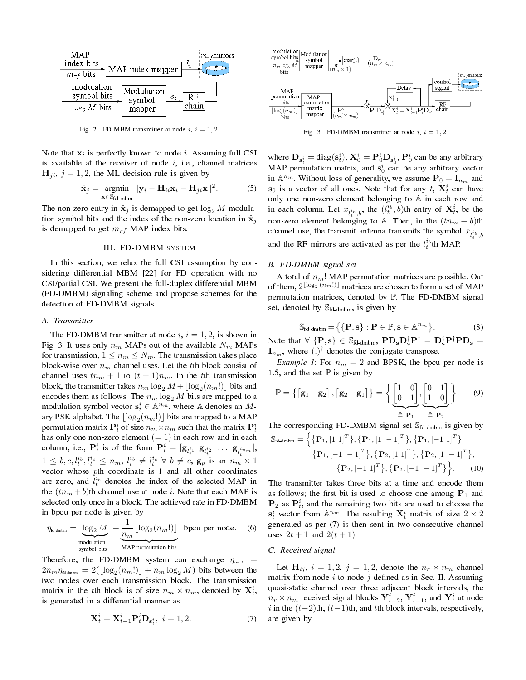

Fig. 2. FD-MBM transmitter at node  $i, i = 1, 2$ .

Note that **x***<sup>i</sup>* is perfectly known to node *i*. Assuming full CSI is available at the receiver of node  $i$ , i.e., channel matrices  $\mathbf{H}_{ji}$ ,  $j = 1, 2$ , the ML decision rule is given by

$$
\hat{\mathbf{x}}_j = \underset{\mathbf{x} \in \mathbb{S}_{\text{fd-mbm}}}{\text{argmin}} \|\mathbf{y}_i - \mathbf{H}_{ii}\mathbf{x}_i - \mathbf{H}_{ji}\mathbf{x}\|^2. \tag{5}
$$

The non-zero entry in  $\hat{\mathbf{x}}_j$  is demapped to get  $\log_2 M$  modulation symbol bits and the index of the non-zero location in  $\hat{\mathbf{x}}_i$ is demapped to get  $m_{rf}$  MAP index bits.

#### III. FD-DMBM SYSTEM

In this section, we relax the full CSI assumption by considering differential MBM [22] for FD operation with no CSI/partial CSI. We present the full-duplex differential MBM (FD-DMBM) signaling scheme and propose schemes for the detection of FD-DMBM signals.

### A. Transmitter

The FD-DMBM transmitter at node  $i, i = 1, 2$ , is shown in Fig. 3. It uses only  $n_m$  MAPs out of the available  $N_m$  MAPs for transmission,  $1 \leq n_m \leq N_m$ . The transmission takes place block-wise over  $n_m$  channel uses. Let the *t*th block consist of channel uses  $tn_m + 1$  to  $(t + 1)n_m$ . In the *t*th transmission block, the transmitter takes  $n_m \log_2 M + \lfloor \log_2(n_m!) \rfloor$  bits and encodes them as follows. The  $n_m \log_2 M$  bits are mapped to a modulation symbol vector  $\mathbf{s}_t^i \in \mathbb{A}^{n_m}$ , where A denotes an Mary PSK alphabet. The  $\lfloor \log_2(n_m!) \rfloor$  bits are mapped to a MAP permutation matrix  $\mathbf{P}_t^i$  of size  $n_m \times n_m$  such that the matrix  $\mathbf{P}_t^i$ has only one non-zero element  $(= 1)$  in each row and in each column, i.e.,  $P_t^i$  is of the form  $P_t^i = [\mathbf{g}_{l_t^{i_1}} \ \mathbf{g}_{l_t^{i_2}} \ \dots \ \mathbf{g}_{l_t^{i_{nm}}}]$ ,  $1 \leq b, c, l_t^{i_b}, l_t^{i_c} \leq n_m, l_t^{i_b} \neq l_t^{i_c} \ \forall \ b \neq c, g_p \text{ is an } n_m \times 1$ vector whose *p*th coordinate is 1 and all other coordinates are zero, and  $l_t^{i_b}$  denotes the index of the selected MAP in the  $(tn_m + b)$ th channel use at node *i*. Note that each MAP is selected only once in a block. The achieved rate in FD-DMBM in bpcu per node is given by

$$
\eta_{\text{id-dmbm}} = \underbrace{\log_2 M}_{\text{modulation}} + \underbrace{\frac{1}{n_m} \lfloor \log_2(n_m!) \rfloor}_{\text{MAP permutation bits}} \text{ bpcu per node.}
$$
 (6)

Therefore, the FD-DMBM system can exchange  $\eta_{sys2}$  =  $2n_m \eta_{\text{fd-dmbm}} = 2(\lfloor \log_2(n_m!) \rfloor + n_m \log_2 M)$  bits between the two nodes over each transmission block. The transmission matrix in the *t*th block is of size  $n_m \times n_m$ , denoted by  $\mathbf{X}_t^i$ , is generated in a differential manner as

$$
\mathbf{X}_t^i = \mathbf{X}_{t-1}^i \mathbf{P}_t^i \mathbf{D}_{\mathbf{s}_t^i}, \ i = 1, 2. \tag{7}
$$



Fig. 3. FD-DMBM transmitter at node  $i$ ,  $i = 1, 2$ .

where  $\mathbf{D}_{\mathbf{s}_t^i} = \text{diag}(\mathbf{s}_t^i), \mathbf{X}_0^i = \mathbf{P}_0^i \mathbf{D}_{\mathbf{s}_0^i}, \mathbf{P}_0^i$  can be any arbitrary MAP permutation matrix, and  $s_0^i$  can be any arbitrary vector in  $\mathbb{A}^{n_m}$ . Without loss of generality, we assume  $\mathbf{P}_0 = \mathbf{I}_{n_m}$  and **s**<sub>0</sub> is a vector of all ones. Note that for any  $t$ ,  $\mathbf{X}_t^i$  can have only one non-zero element belonging to A in each row and in each column. Let  $x_{l_t^i, b}$ , the  $(l_t^{i_b}, b)$ th entry of  $\mathbf{X}_t^i$ , be the non-zero element belonging to  $\mathbb{A}$ . Then, in the  $(tn_m + b)$ th channel use, the transmit antenna transmits the symbol  $x_{l_t^{i_b},b}$ and the RF mirrors are activated as per the  $l_t^{i_b}$ th MAP.

#### B. FD-DMBM signal set

A total of *nm*! MAP permutation matrices are possible. Out of them,  $2^{\lfloor \log_2(n_m!)\rfloor}$  matrices are chosen to form a set of MAP permutation matrices, denoted by P. The FD-DMBM signal set, denoted by  $\mathbb{S}_{\text{fd-dmbm}}$ , is given by

$$
\mathbb{S}_{\text{fd-dmbm}} = \left\{ \{ \mathbf{P}, \mathbf{s} \} : \mathbf{P} \in \mathbb{P}, \mathbf{s} \in \mathbb{A}^{n_m} \right\}. \tag{8}
$$

Note that  $\forall \{\mathbf{P}, \mathbf{s}\} \in \mathbb{S}_{\text{fd-dmbm}}$ ,  $\mathbf{PD}_{\mathbf{s}} \mathbf{D}_{\mathbf{s}}^{\dagger} \mathbf{P}^{\dagger} = \mathbf{D}_{\mathbf{s}}^{\dagger} \mathbf{P}^{\dagger} \mathbf{PD}_{\mathbf{s}} =$  $\mathbf{I}_{n_m}$ , where  $(.)^{\dagger}$  denotes the conjugate transpose.

*Example 1*: For  $n_m = 2$  and BPSK, the bpcu per node is 1.5, and the set  $\mathbb P$  is given by

$$
\mathbb{P} = \left\{ \begin{bmatrix} \mathbf{g}_1 & \mathbf{g}_2 \end{bmatrix}, \begin{bmatrix} \mathbf{g}_2 & \mathbf{g}_1 \end{bmatrix} \right\} = \left\{ \underbrace{\begin{bmatrix} 1 & 0 \\ 0 & 1 \end{bmatrix}, \begin{bmatrix} 0 & 1 \\ 1 & 0 \end{bmatrix}}_{\triangleq \mathbf{P}_1}, \underbrace{\begin{bmatrix} 0 & 1 \\ 0 & 1 \end{bmatrix}}_{\triangleq \mathbf{P}_2} \right\}.
$$
 (9)

The corresponding FD-DMBM signal set  $\mathbb{S}_{\text{fd-dmbm}}$  is given by  $\mathbb{S}_{\text{fd-dmbm}} = \left\{ {\mathbf{P}_1, \left[ {1\,\,1} \right]^T } \right\}, \left\{ {\mathbf{P}_1, \left[ {1\,\,-1} \right]^T } \right\}, \left\{ {\mathbf{P}_1, \left[ {-1\,\,1} \right]^T } \right\}$ *,*

$$
\{P_{1},\begin{bmatrix} -1 & 1 \end{bmatrix}^{T}\},\{P_{2},\begin{bmatrix} 1 & 1 \end{bmatrix}^{T}\},\{P_{2},\begin{bmatrix} 1 & -1 \end{bmatrix}^{T}\},\{P_{2},\begin{bmatrix} 1 & -1 \end{bmatrix}^{T}\},\{P_{2},\begin{bmatrix} 1 & -1 \end{bmatrix}^{T}\},\{P_{2},\begin{bmatrix} -1 & -1 \end{bmatrix}^{T}\},\{P_{2},\begin{bmatrix} -1 & -1 \end{bmatrix}^{T}\}\}. \tag{10}
$$

The transmitter takes three bits at a time and encode them as follows; the first bit is used to choose one among  $P_1$  and  $P_2$  as  $P_t^i$ , and the remaining two bits are used to choose the  $\mathbf{s}_t^i$  vector from  $\mathbb{A}^{n_m}$ . The resulting  $\mathbf{X}_t^i$  matrix of size  $2 \times 2$ generated as per (7) is then sent in two consecutive channel uses  $2t + 1$  and  $2(t + 1)$ .

#### C. Received signal

Let  $\mathbf{H}_{ij}$ ,  $i = 1, 2$ ,  $j = 1, 2$ , denote the  $n_r \times n_m$  channel matrix from node  $i$  to node  $j$  defined as in Sec. II. Assuming quasi-static channel over three adjacent block intervals, the  $n_r \times n_m$  received signal blocks  $\mathbf{Y}_{t-2}^i$ ,  $\mathbf{Y}_{t-1}^i$ , and  $\mathbf{Y}_t^i$  at node *i* in the (*t−*2)th, (*t−*1)th, and *t*th block intervals, respectively, are given by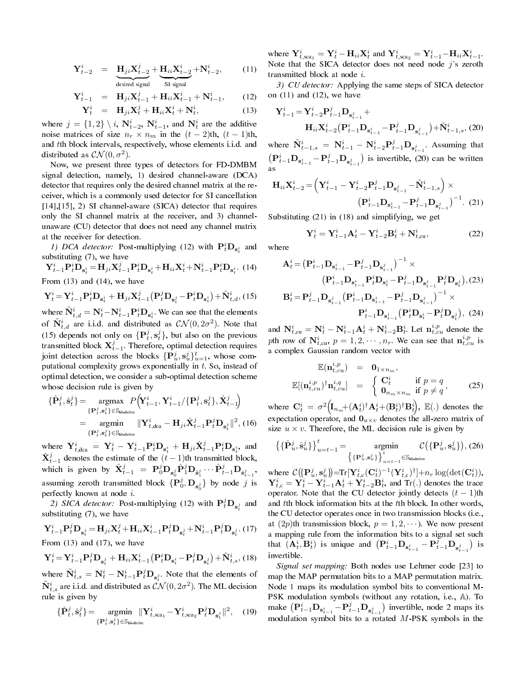$$
\mathbf{Y}_{t-2}^{i} = \mathbf{H}_{ji}\mathbf{X}_{t-2}^{j} + \mathbf{H}_{ii}\mathbf{X}_{t-2}^{i} + \mathbf{N}_{t-2}^{i},
$$
 (11)  
desired signal

$$
\mathbf{Y}_{t-1}^{i} = \mathbf{H}_{ji}\mathbf{X}_{t-1}^{j} + \mathbf{H}_{ii}\mathbf{X}_{t-1}^{i} + \mathbf{N}_{t-1}^{i}, \qquad (12)
$$
  

$$
\mathbf{Y}_{t}^{i} = \mathbf{H} \mathbf{Y}_{t}^{j} + \mathbf{H} \mathbf{Y}_{t}^{i} + \mathbf{N}_{t}^{i}
$$
 (13)

$$
\mathbf{Y}_{t}^{i} = \mathbf{H}_{ji}\mathbf{X}_{t}^{j} + \mathbf{H}_{ii}\mathbf{X}_{t}^{i} + \mathbf{N}_{t}^{i},
$$
\n
$$
j = \{1, 2\} \setminus i, \ \mathbf{N}_{t-2}^{i}, \ \mathbf{N}_{t-1}^{i}, \text{ and } \mathbf{N}_{t}^{i} \text{ are the additive}
$$

 $\frac{1}{2}$  where *t−*2 *t−*1 *t* noise matrices of size  $n_r \times n_m$  in the  $(t-2)$ th,  $(t-1)$ th, and *t*th block intervals, respectively, whose elements i.i.d. and distributed as  $\mathcal{CN}(0, \sigma^2)$ .

Now, we present three types of detectors for FD-DMBM signal detection, namely, 1) desired channel-aware (DCA) detector that requires only the desired channel matrix at the receiver, which is a commonly used detector for SI cancellation [14],[15], 2) SI channel-aware (SICA) detector that requires only the SI channel matrix at the receiver, and 3) channelunaware (CU) detector that does not need any channel matrix at the receiver for detection.

1) DCA detector: Post-multiplying (12) with  $\mathbf{P}_t^i \mathbf{D}_{\mathbf{s}_t^i}$  and substituting (7), we have

 ${\bf Y}^i_{t-1} {\bf P}^i_t \bar{{\bf D}}_{{\bf s}^i_t} = {\bf H}_{ji} {\bf X}^j_{t-1} {\bf P}^i_t {\bf D}_{{\bf s}^i_t} + {\bf H}_{ii} {\bf X}^i_t + {\bf N}^i_{t-1} {\bf P}^i_t {\bf D}_{{\bf s}^i_t}.$  (14) From  $(13)$  and  $(14)$ , we have

$$
\mathbf{Y}_{t}^{i} = \mathbf{Y}_{t-1}^{i} \mathbf{P}_{t}^{i} \mathbf{D}_{\mathbf{s}_{t}^{i}} + \mathbf{H}_{ji} \mathbf{X}_{t-1}^{j} \left( \mathbf{P}_{t}^{j} \mathbf{D}_{\mathbf{s}_{t}^{j}} - \mathbf{P}_{t}^{i} \mathbf{D}_{\mathbf{s}_{t}^{i}} \right) + \tilde{\mathbf{N}}_{t,d}^{i}, (15)
$$

where  $\tilde{\bf{N}}_{t,d}^i = {\bf{N}}_t^i - {\bf{N}}_{t-1}^i {\bf{P}}_t^i {\bf{D}}_{\bf{s}_t^i}$ . We can see that the elements of  $\tilde{N}_{t,d}^i$  are i.i.d. and distributed as  $\mathcal{CN}(0, 2\sigma^2)$ . Note that (15) depends not only on  $\{P_t^j, s_t^j\}$ , but also on the previous transmitted block  $\mathbf{X}_{t-1}^j$ . Therefore, optimal detection requires joint detection across the blocks  $\{P_u^j, S_u^j\}_{u=1}^t$ , whose computational complexity grows exponentially in *t*. So, instead of optimal detection, we consider a sub-optimal detection scheme whose decision rule is given by

$$
\{\hat{\mathbf{P}}_t^j, \hat{\mathbf{s}}_t^j\} = \underset{\{\mathbf{P}_t^j, \mathbf{s}_t^j\} \in \mathbb{S}_{\text{fd-dim}}}{\text{argmax}} P\left(\mathbf{Y}_{t-1}^i, \mathbf{Y}_{t-1}^i / \{\mathbf{P}_t^j, \mathbf{s}_t^j\}, \hat{\mathbf{X}}_{t-1}^j\right)
$$
\n
$$
= \underset{\{\mathbf{P}_t^j, \mathbf{s}_t^j\} \in \mathbb{S}_{\text{fd-dim}}}{\text{argmin}} \|\mathbf{Y}_{t,\text{dca}}^i - \mathbf{H}_{ji}\hat{\mathbf{X}}_{t-1}^j \mathbf{P}_t^j \mathbf{D}_{\mathbf{s}_t^j}\|^2, (16)
$$

where  $\mathbf{Y}_{t, \text{dca}}^i = \mathbf{Y}_t^i - \mathbf{Y}_{t-1}^i \mathbf{P}_t^i \mathbf{D}_{\mathbf{s}_t^i} + \mathbf{H}_{ji} \hat{\mathbf{X}}_{t-1}^j \mathbf{P}_t^i \mathbf{D}_{\mathbf{s}_t^i}$ , and  $\hat{\mathbf{X}}_{t-1}^{j}$  denotes the estimate of the  $(t-1)$ th transmitted block, which is given by  $\hat{\mathbf{X}}_{t-1}^j = \mathbf{P}_0^j \mathbf{D}_{\mathbf{s}_0^j} \hat{\mathbf{P}}_1^j \mathbf{D}_{\hat{\mathbf{s}}_1^j} \cdots \hat{\mathbf{P}}_{t-1}^j \mathbf{D}_{\hat{\mathbf{s}}_{t-1}^j}$ assuming zeroth transmitted block  $\{P_0^j, D_{s_0^j}\}\$  by node *j* is perfectly known at node *i*.

2) SICA detector: Post-multiplying (12) with  $\mathbf{P}_t^j \mathbf{D}_{\mathbf{s}_t^j}$  and substituting (7), we have

$$
\mathbf{Y}_{t-1}^{i} \mathbf{P}_{t}^{j} \mathbf{D}_{\mathbf{s}_{t}^{j}} = \mathbf{H}_{ji} \mathbf{X}_{t}^{j} + \mathbf{H}_{ii} \mathbf{X}_{t-1}^{i} \mathbf{P}_{t}^{j} \mathbf{D}_{\mathbf{s}_{t}^{j}} + \mathbf{N}_{t-1}^{i} \mathbf{P}_{t}^{j} \mathbf{D}_{\mathbf{s}_{t}^{j}}.
$$
 (17) From (13) and (17), we have

$$
\mathbf{Y}_{t}^{i} = \mathbf{Y}_{t-1}^{i} \mathbf{P}_{t}^{j} \mathbf{D}_{\mathbf{s}_{t}^{j}} + \mathbf{H}_{ii} \mathbf{X}_{t-1}^{i} \left( \mathbf{P}_{t}^{i} \mathbf{D}_{\mathbf{s}_{t}^{i}} - \mathbf{P}_{t}^{j} \mathbf{D}_{\mathbf{s}_{t}^{j}} \right) + \tilde{\mathbf{N}}_{t,s}^{i}, (18)
$$

where  $\tilde{\mathbf{N}}_{t,s}^i = \mathbf{N}_t^i - \mathbf{N}_{t-1}^i \mathbf{P}_t^j \mathbf{D}_{\mathbf{s}_t^j}$ . Note that the elements of  $\tilde{\mathbf{N}}_{t,s}^i$  are i.i.d. and distributed as  $\mathcal{CN}(0, 2\sigma^2)$ . The ML decision rule is given by

$$
\{\hat{\mathbf{P}}_t^j, \hat{\mathbf{s}}_t^j\} = \underset{\{\mathbf{P}_t^j, \mathbf{s}_t^j\} \in \mathbb{S}_{\text{fd-dm bm}}}{\text{argmin}} \|\mathbf{Y}_{t,\text{sca}_1}^i - \mathbf{Y}_{t,\text{sca}_2}^i \mathbf{P}_t^j \mathbf{D}_{\mathbf{s}_t^j} \|^2, \quad (19)
$$

where  $\mathbf{Y}_{t,\text{sca}_1}^i = \mathbf{Y}_t^i - \mathbf{H}_{ii}\mathbf{X}_t^i$  and  $\mathbf{Y}_{t,\text{sca}_2}^i = \mathbf{Y}_{t-1}^i - \mathbf{H}_{ii}\mathbf{X}_{t-1}^i$ . Note that the SICA detector does not need node *j*'s zeroth transmitted block at node *i*.

3) CU detector: Applying the same steps of SICA detector on  $(11)$  and  $(12)$ , we have

$$
\mathbf{Y}_{t-1}^{i} = \mathbf{Y}_{t-2}^{i} \mathbf{P}_{t-1}^{j} \mathbf{D}_{\mathbf{s}_{t-1}^{j}} + \mathbf{H}_{ii} \mathbf{X}_{t-2}^{i} \left( \mathbf{P}_{t-1}^{i} \mathbf{D}_{\mathbf{s}_{t-1}^{i}} - \mathbf{P}_{t-1}^{j} \mathbf{D}_{\mathbf{s}_{t-1}^{j}} \right) + \tilde{\mathbf{N}}_{t-1,s}^{i}, (20)
$$

where  $\tilde{\mathbf{N}}_{t-1,s}^i = \mathbf{N}_{t-1}^i - \mathbf{N}_{t-2}^i \mathbf{P}_{t-1}^j \mathbf{D}_{\mathbf{s}_{t-1}^j}$ . Assuming that  $\left( \mathbf{P}_{t-1}^{i} \mathbf{D}_{\mathbf{s}_{t-1}^{i}} - \mathbf{P}_{t-1}^{j} \mathbf{D}_{\mathbf{s}_{t-1}^{j}} \right)$  is invertible, (20 ) is invertible, (20) can be written as

$$
\mathbf{H}_{ii}\mathbf{X}_{t-2}^{i} = \left(\mathbf{Y}_{t-1}^{i} - \mathbf{Y}_{t-2}^{i}\mathbf{P}_{t-1}^{j}\mathbf{D}_{\mathbf{s}_{t-1}^{j}} - \tilde{\mathbf{N}}_{t-1,s}^{i}\right) \times \left(\mathbf{P}_{t-1}^{i}\mathbf{D}_{\mathbf{s}_{t-1}^{i}} - \mathbf{P}_{t-1}^{j}\mathbf{D}_{\mathbf{s}_{t-1}^{j}}\right)^{-1}.
$$
 (21)

Substituting (21) in (18) and simplifying, we get

$$
\mathbf{Y}_{t}^{i} = \mathbf{Y}_{t-1}^{i} \mathbf{A}_{t}^{i} - \mathbf{Y}_{t-2}^{i} \mathbf{B}_{t}^{i} + \mathbf{N}_{t,cu}^{i}, \qquad (22)
$$

where

$$
\mathbf{A}_{t}^{i} = \left(\mathbf{P}_{t-1}^{i} \mathbf{D}_{\mathbf{s}_{t-1}^{i}} - \mathbf{P}_{t-1}^{j} \mathbf{D}_{\mathbf{s}_{t-1}^{j}}\right)^{-1} \times
$$
\n
$$
\left(\mathbf{P}_{t-1}^{i} \mathbf{D}_{\mathbf{s}_{t-1}^{i}} \mathbf{P}_{t}^{i} \mathbf{D}_{\mathbf{s}_{t}^{i}} - \mathbf{P}_{t-1}^{j} \mathbf{D}_{\mathbf{s}_{t-1}^{j}} \mathbf{P}_{t}^{j} \mathbf{D}_{\mathbf{s}_{t}^{j}}\right), (23)
$$
\n
$$
\mathbf{B}_{t}^{i} = \mathbf{P}_{t-1}^{j} \mathbf{D}_{\mathbf{s}_{t-1}^{j}} \left(\mathbf{P}_{t-1}^{i} \mathbf{D}_{\mathbf{s}_{t-1}^{i}} - \mathbf{P}_{t-1}^{j} \mathbf{D}_{\mathbf{s}_{t-1}^{j}}\right)^{-1} \times
$$
\n
$$
\mathbf{P}_{t-1}^{i} \mathbf{D}_{\mathbf{s}_{t-1}^{i}} \left(\mathbf{P}_{t}^{i} \mathbf{D}_{\mathbf{s}_{t}^{i}} - \mathbf{P}_{t}^{j} \mathbf{D}_{\mathbf{s}_{t}^{j}}\right), (24)
$$

and  $\mathbf{N}_{t,\text{cu}}^i = \mathbf{N}_t^i - \mathbf{N}_{t-1}^i \mathbf{A}_t^i + \mathbf{N}_{t-2}^i \mathbf{B}_t^i$ . Let  $\mathbf{n}_{t,cu}^{i,p}$  denote the *p*th row of  $N_{t,cu}^i$ ,  $p = 1, 2, \cdots, n_r$ . We can see that  $n_{t,cu}^{i,p}$  is a complex Gaussian random vector with

$$
\mathbb{E}(\mathbf{n}_{t,cu}^{i,p}) = \mathbf{0}_{1 \times n_m},
$$
\n
$$
\mathbb{E}[(\mathbf{n}_{t,cu}^{i,p})^{\dagger} \mathbf{n}_{t,cu}^{i,q}] = \begin{cases} \mathbf{C}_t^i & \text{if } p = q \\ \mathbf{0}_{n_m \times n_m} & \text{if } p \neq q \end{cases}
$$
\n(25)

where  $\mathbf{C}_t^i = \sigma^2 \Big(\!\mathbf{I}_{n_m}\!\!+\! (\mathbf{A}_t^i)^\dagger \mathbf{A}_t^i\!+\! (\mathbf{B}_t^i)^\dagger \mathbf{B}_t^i\!\Big),$   $\mathbb{E}(.)$  denotes the expectation operator, and  $\mathbf{0}_{u \times v}$  denotes the all-zero matrix of size  $u \times v$ . Therefore, the ML decision rule is given by

$$
\left\{ \{\hat{\mathbf{P}}_u^j, \hat{\mathbf{s}}_u^j\} \right\}_{u=t-1}^t = \operatorname*{argmin}_{\left\{ \{\mathbf{P}_u^j, \mathbf{s}_u^j\} \right\}_{u=t-1}^t \in \mathbb{S}_{\text{Id-dmbm}}} \mathcal{C}\left( \{\mathbf{P}_u^j, \mathbf{s}_u^j\} \right), (26)
$$

where  $\mathcal{C}(\{\mathbf{P}_u^j, \mathbf{s}_u^j\}) = \text{Tr}[\mathbf{Y}_{t,c}^i(\mathbf{C}_t^i)^{-1}(\mathbf{Y}_{t,c}^i)^{\dagger}] + n_r \log(\det(\mathbf{C}_t^i)),$  $Y_{t,c}^i = \hat{Y}_t^i - Y_{t-1}^i \hat{A}_t^i + \hat{Y}_{t-2}^i \hat{B}_t^i$ , and Tr(.) denotes the trace operator. Note that the CU detector jointly detects  $(t - 1)$ th and *t*th block information bits at the *t*th block. In other words, the CU detector operates once in two transmission blocks (i.e., at  $(2p)$ th transmission block,  $p = 1, 2, \cdots$ ). We now present a mapping rule from the information bits to a signal set such that  $(\mathbf{A}_t^i, \mathbf{B}_t^i)$  is unique and  $(\mathbf{P}_{t-1}^i \mathbf{D}_{\mathbf{s}_{t-1}^i} - \mathbf{P}_{t-1}^j \mathbf{D}_{\mathbf{s}_{t-1}^j})$ ) is invertible.

Signal set mapping: Both nodes use Lehmer code [23] to map the MAP permutation bits to a MAP permutation matrix. Node 1 maps its modulation symbol bits to conventional M-PSK modulation symbols (without any rotation, i.e., A). To make  $(\mathbf{P}_{t-1}^i \mathbf{D}_{\mathbf{s}_{t-1}^i} - \mathbf{P}_{t-1}^j \mathbf{D}_{\mathbf{s}_{t-1}^j})$  invertible, node 2 maps its modulation symbol bits to a rotated *M*-PSK symbols in the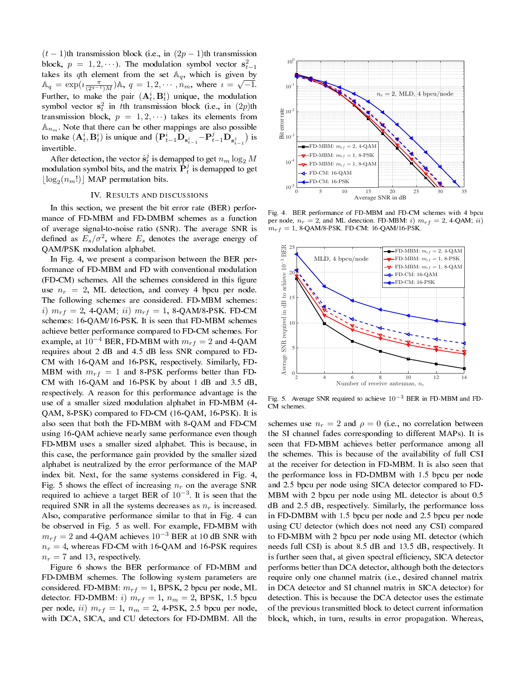$(t-1)$ th transmission block (i.e., in  $(2p-1)$ th transmission block,  $p = 1, 2, \cdots$ ). The modulation symbol vector  $\mathbf{s}_{t-1}^2$ takes its *q*th element from the set  $\mathbb{A}_q$ , which is given by  $A_q = \exp(i\frac{\pi}{(2^{q-1})M})A, q = 1, 2, \cdots, n_m$ , where  $i = \sqrt{-1}$ . Further, to make the pair  $(A_t^i, B_t^i)$  unique, the modulation symbol vector  $s_t^2$  in *t*th transmission block (i.e., in  $(2p)$ th transmission block,  $p = 1, 2, \cdots$ ) takes its elements from  $A_{n_m}$ . Note that there can be other mappings are also possible to make  $(\mathbf{A}_t^i, \mathbf{B}_t^i)$  is unique and  $(\mathbf{P}_{t-1}^i \mathbf{D}_{\mathbf{s}_{t-1}^i} - \mathbf{P}_{t-1}^j \mathbf{D}_{\mathbf{s}_{t-1}^j})$ ) is invertible.

After detection, the vector  $\hat{\mathbf{s}}_t^j$  is demapped to get  $n_m \log_2 M$ modulation symbol bits, and the matrix  $\hat{P}_t^j$  is demapped to get  $\lfloor \log_2(n_m!) \rfloor$  MAP permutation bits.

#### IV. RESULTS AND DISCUSSIONS

In this section, we present the bit error rate (BER) performance of FD-MBM and FD-DMBM schemes as a function of average signal-to-noise ratio (SNR). The average SNR is defined as  $E_s/\sigma^2$ , where  $E_s$  denotes the average energy of QAM/PSK modulation alphabet.

In Fig. 4, we present a comparison between the BER performance of FD-MBM and FD with conventional modulation (FD-CM) schemes. All the schemes considered in this figure use  $n_r = 2$ , ML detection, and convey 4 bpcu per node. The following schemes are considered. FD-MBM schemes: *i*)  $m_{rf} = 2$ , 4-QAM; *ii*)  $m_{rf} = 1$ , 8-QAM/8-PSK. FD-CM schemes: 16-QAM/16-PSK. It is seen that FD-MBM schemes achieve better performance compared to FD-CM schemes. For example, at  $10^{-4}$  BER, FD-MBM with  $m_{rf} = 2$  and 4-QAM requires about 2 dB and 4.5 dB less SNR compared to FD-CM with 16-QAM and 16-PSK, respectively. Similarly, FD-MBM with  $m_{rf} = 1$  and 8-PSK performs better than FD-CM with 16-QAM and 16-PSK by about 1 dB and 3.5 dB, respectively. A reason for this performance advantage is the use of a smaller sized modulation alphabet in FD-MBM (4- QAM, 8-PSK) compared to FD-CM (16-QAM, 16-PSK). It is also seen that both the FD-MBM with 8-QAM and FD-CM using 16-QAM achieve nearly same performance even though FD-MBM uses a smaller sized alphabet. This is because, in this case, the performance gain provided by the smaller sized alphabet is neutralized by the error performance of the MAP index bit. Next, for the same systems considered in Fig. 4, Fig. 5 shows the effect of increasing  $n_r$  on the average SNR required to achieve a target BER of 10*<sup>−</sup>*<sup>3</sup> . It is seen that the required SNR in all the systems decreases as *n<sup>r</sup>* is increased. Also, comparative performance similar to that in Fig. 4 can be observed in Fig. 5 as well. For example, FD-MBM with  $m_{rf} = 2$  and 4-QAM achieves 10<sup>-3</sup> BER at 10 dB SNR with  $n_r = 4$ , whereas FD-CM with 16-QAM and 16-PSK requires  $n_r = 7$  and 13, respectively.

Figure 6 shows the BER performance of FD-MBM and FD-DMBM schemes. The following system parameters are considered. FD-MBM:  $m_{rf} = 1$ , BPSK, 2 bpcu per node, ML detector. FD-DMBM: *i*)  $m_{rf} = 1$ ,  $n_m = 2$ , BPSK, 1.5 bpcu per node, *ii*)  $m_{rf} = 1$ ,  $n_m = 2$ , 4-PSK, 2.5 bpcu per node, with DCA, SICA, and CU detectors for FD-DMBM. All the



Fig. 4. BER performance of FD-MBM and FD-CM schemes with 4 bpcu per node,  $n_r = 2$ , and ML detection. FD-MBM: *i*)  $m_{rf} = 2$ , 4-QAM; *ii*)  $m_{rf} = 1$ , 8-QAM/8-PSK. FD-CM: 16-QAM/16-PSK.



Fig. 5. Average SNR required to achieve 10*−*<sup>3</sup> BER in FD-MBM and FD-CM schemes.

schemes use  $n_r = 2$  and  $\rho = 0$  (i.e., no correlation between the SI channel fades corresponding to different MAPs). It is seen that FD-MBM achieves better performance among all the schemes. This is because of the availability of full CSI at the receiver for detection in FD-MBM. It is also seen that the performance loss in FD-DMBM with 1.5 bpcu per node and 2.5 bpcu per node using SICA detector compared to FD-MBM with 2 bpcu per node using ML detector is about 0.5 dB and 2.5 dB, respectively. Similarly, the performance loss in FD-DMBM with 1.5 bpcu per node and 2.5 bpcu per node using CU detector (which does not need any CSI) compared to FD-MBM with 2 bpcu per node using ML detector (which needs full CSI) is about 8.5 dB and 13.5 dB, respectively. It is further seen that, at given spectral efficiency, SICA detector performs better than DCA detector, although both the detectors require only one channel matrix (i.e., desired channel matrix in DCA detector and SI channel matrix in SICA detector) for detection. This is because the DCA detector uses the estimate of the previous transmitted block to detect current information block, which, in turn, results in error propagation. Whereas,